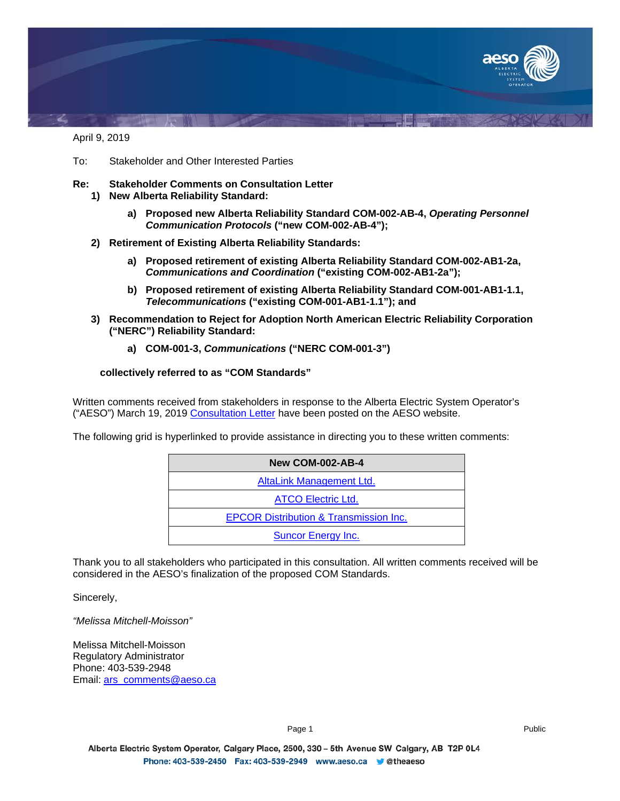

April 9, 2019

- To: Stakeholder and Other Interested Parties
- **Re: Stakeholder Comments on Consultation Letter 1) New Alberta Reliability Standard:**
	- **a) Proposed new Alberta Reliability Standard COM-002-AB-4,** *Operating Personnel Communication Protocols* **("new COM-002-AB-4");**
	- **2) Retirement of Existing Alberta Reliability Standards:**
		- **a) Proposed retirement of existing Alberta Reliability Standard COM-002-AB1-2a,**  *Communications and Coordination* **("existing COM-002-AB1-2a");**
		- **b) Proposed retirement of existing Alberta Reliability Standard COM-001-AB1-1.1,**  *Telecommunications* **("existing COM-001-AB1-1.1"); and**
	- **3) Recommendation to Reject for Adoption North American Electric Reliability Corporation ("NERC") Reliability Standard:**
		- **a) COM-001-3,** *Communications* **("NERC COM-001-3")**

## **collectively referred to as "COM Standards"**

Written comments received from stakeholders in response to the Alberta Electric System Operator's ("AESO") March 19, 2019 [Consultation Letter](https://www.aeso.ca/assets/Uploads/Consultation-Letter-COM-001-COM-002-ARS.pdf) have been posted on the AESO website.

The following grid is hyperlinked to provide assistance in directing you to these written comments:

| <b>New COM-002-AB-4</b>                           |  |
|---------------------------------------------------|--|
| AltaLink Management Ltd.                          |  |
| <b>ATCO Electric Ltd.</b>                         |  |
| <b>EPCOR Distribution &amp; Transmission Inc.</b> |  |
| <b>Suncor Energy Inc.</b>                         |  |

Thank you to all stakeholders who participated in this consultation. All written comments received will be considered in the AESO's finalization of the proposed COM Standards.

Sincerely,

*"Melissa Mitchell-Moisson"*

Melissa Mitchell-Moisson Regulatory Administrator Phone: 403-539-2948 Email: [ars\\_comments@aeso.ca](mailto:ars_comments@aeso.ca)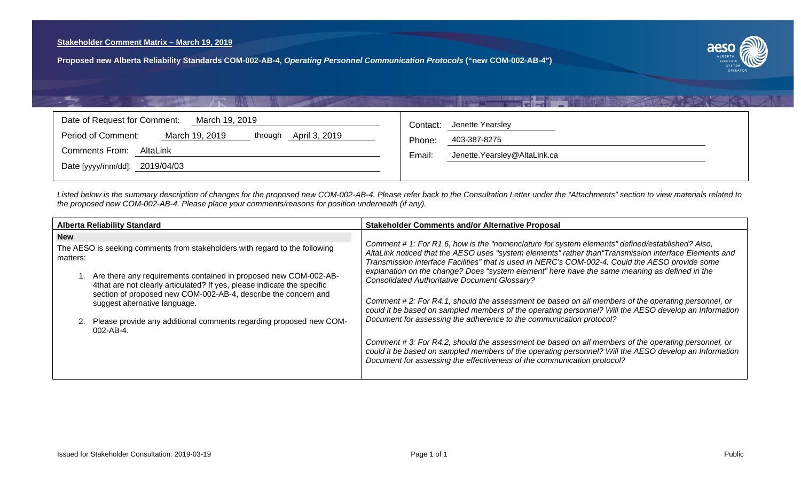<span id="page-1-0"></span>**Proposed new Alberta Reliability Standards COM-002-AB-4,** *Operating Personnel Communication Protocols* **("new COM-002-AB-4")**



| Date of Request for Comment:<br>March 19, 2019<br>March 19, 2019<br>April 3, 2019<br>Period of Comment:<br>through | Jenette Yearsley<br>Contact:<br>403-387-8275<br>Phone: |
|--------------------------------------------------------------------------------------------------------------------|--------------------------------------------------------|
| Comments From:<br>AltaLink                                                                                         | Jenette.Yearsley@AltaLink.ca<br>Email:                 |
| Date [yyyy/mm/dd]: 2019/04/03                                                                                      |                                                        |

工作业的

*Listed below is the summary description of changes for the proposed new COM-002-AB-4. Please refer back to the Consultation Letter under the "Attachments" section to view materials related to the proposed new COM-002-AB-4. Please place your comments/reasons for position underneath (if any).*

| <b>Alberta Reliability Standard</b>                                                                                                                                                                                                                                                                                                                                                                                                                     | <b>Stakeholder Comments and/or Alternative Proposal</b>                                                                                                                                                                                                                                                                                                                                                                                                                                                                                                                                                                                                                                                                                                                                                                                                                                                                                                                                                                                                |
|---------------------------------------------------------------------------------------------------------------------------------------------------------------------------------------------------------------------------------------------------------------------------------------------------------------------------------------------------------------------------------------------------------------------------------------------------------|--------------------------------------------------------------------------------------------------------------------------------------------------------------------------------------------------------------------------------------------------------------------------------------------------------------------------------------------------------------------------------------------------------------------------------------------------------------------------------------------------------------------------------------------------------------------------------------------------------------------------------------------------------------------------------------------------------------------------------------------------------------------------------------------------------------------------------------------------------------------------------------------------------------------------------------------------------------------------------------------------------------------------------------------------------|
| <b>New</b><br>The AESO is seeking comments from stakeholders with regard to the following<br>matters:<br>1. Are there any requirements contained in proposed new COM-002-AB-<br>4that are not clearly articulated? If yes, please indicate the specific<br>section of proposed new COM-002-AB-4, describe the concern and<br>suggest alternative language.<br>2. Please provide any additional comments regarding proposed new COM-<br>$002 - AB - 4$ . | Comment # 1: For R1.6, how is the "nomenclature for system elements" defined/established? Also,<br>AltaLink noticed that the AESO uses "system elements" rather than "Transmission interface Elements and<br>Transmission interface Facilities" that is used in NERC's COM-002-4. Could the AESO provide some<br>explanation on the change? Does "system element" here have the same meaning as defined in the<br><b>Consolidated Authoritative Document Glossary?</b><br>Comment #2: For R4.1, should the assessment be based on all members of the operating personnel, or<br>could it be based on sampled members of the operating personnel? Will the AESO develop an Information<br>Document for assessing the adherence to the communication protocol?<br>Comment #3: For R4.2, should the assessment be based on all members of the operating personnel, or<br>could it be based on sampled members of the operating personnel? Will the AESO develop an Information<br>Document for assessing the effectiveness of the communication protocol? |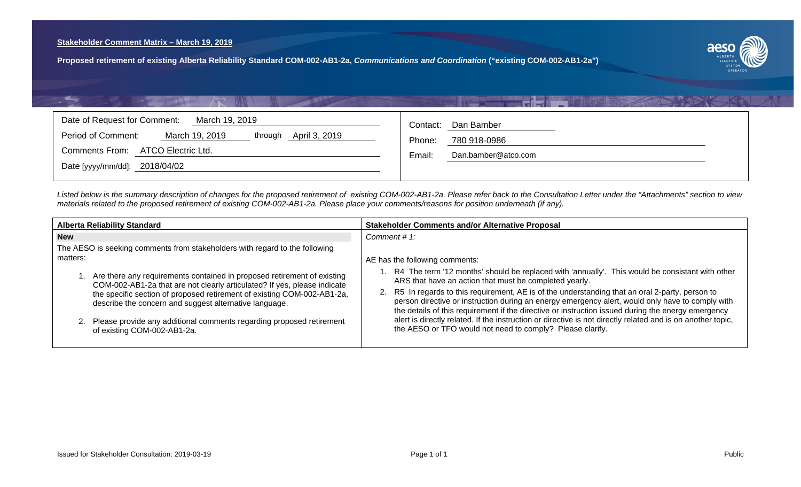<span id="page-2-0"></span>**Proposed retirement of existing Alberta Reliability Standard COM-002-AB1-2a,** *Communications and Coordination* **("existing COM-002-AB1-2a")**



| Date of Request for Comment:<br>March 19, 2019<br>April 3, 2019<br>Period of Comment:<br>March 19, 2019<br>through<br>Comments From: ATCO Electric Ltd.<br>Date [yyyy/mm/dd]: 2018/04/02 | Dan Bamber<br>Contact:<br>780 918-0986<br>Phone:<br>Dan.bamber@atco.com<br>Email: |
|------------------------------------------------------------------------------------------------------------------------------------------------------------------------------------------|-----------------------------------------------------------------------------------|
|                                                                                                                                                                                          |                                                                                   |

【書房

*Listed below is the summary description of changes for the proposed retirement of existing COM-002-AB1-2a. Please refer back to the Consultation Letter under the "Attachments" section to view materials related to the proposed retirement of existing COM-002-AB1-2a. Please place your comments/reasons for position underneath (if any).*

| <b>Alberta Reliability Standard</b>                                                                                                                    | <b>Stakeholder Comments and/or Alternative Proposal</b>                                                                                                                                                                                                                                                       |
|--------------------------------------------------------------------------------------------------------------------------------------------------------|---------------------------------------------------------------------------------------------------------------------------------------------------------------------------------------------------------------------------------------------------------------------------------------------------------------|
| <b>New</b><br>The AESO is seeking comments from stakeholders with regard to the following                                                              | Comment #1:                                                                                                                                                                                                                                                                                                   |
| matters:                                                                                                                                               | AE has the following comments:                                                                                                                                                                                                                                                                                |
| 1. Are there any requirements contained in proposed retirement of existing<br>COM-002-AB1-2a that are not clearly articulated? If yes, please indicate | 1. R4 The term '12 months' should be replaced with 'annually'. This would be consistant with other<br>ARS that have an action that must be completed yearly.                                                                                                                                                  |
| the specific section of proposed retirement of existing COM-002-AB1-2a,<br>describe the concern and suggest alternative language.                      | R5 In regards to this requirement, AE is of the understanding that an oral 2-party, person to<br>2.<br>person directive or instruction during an energy emergency alert, would only have to comply with<br>the details of this requirement if the directive or instruction issued during the energy emergency |
| 2. Please provide any additional comments regarding proposed retirement<br>of existing COM-002-AB1-2a.                                                 | alert is directly related. If the instruction or directive is not directly related and is on another topic,<br>the AESO or TFO would not need to comply? Please clarify.                                                                                                                                      |
|                                                                                                                                                        |                                                                                                                                                                                                                                                                                                               |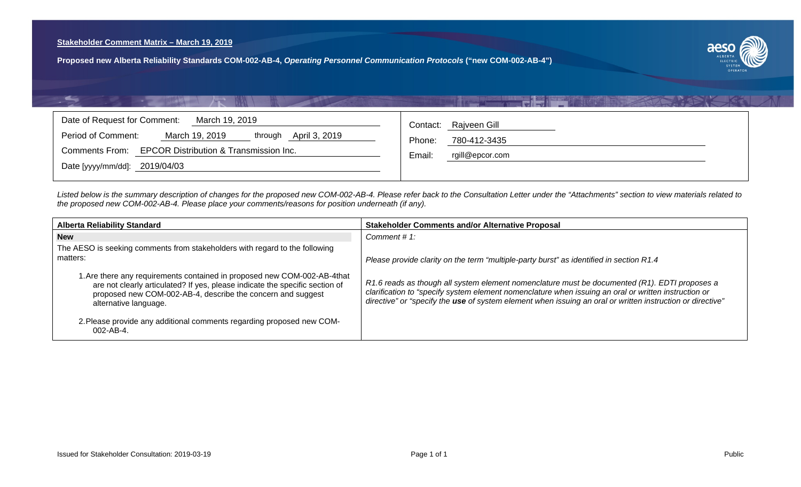<span id="page-3-0"></span>**Proposed new Alberta Reliability Standards COM-002-AB-4,** *Operating Personnel Communication Protocols* **("new COM-002-AB-4")**



| Date of Request for Comment:<br>March 19, 2019<br>April 3, 2019<br>Period of Comment:<br>March 19, 2019<br>through | Contact: Rajveen Gill                               |
|--------------------------------------------------------------------------------------------------------------------|-----------------------------------------------------|
| Comments From: EPCOR Distribution & Transmission Inc.                                                              | Phone:<br>780-412-3435<br>rgill@epcor.com<br>Email: |
| Date [yyyy/mm/dd]: 2019/04/03                                                                                      |                                                     |

i a lite

*Listed below is the summary description of changes for the proposed new COM-002-AB-4. Please refer back to the Consultation Letter under the "Attachments" section to view materials related to the proposed new COM-002-AB-4. Please place your comments/reasons for position underneath (if any).*

| <b>Alberta Reliability Standard</b>                                                                                                                                                                                                              | <b>Stakeholder Comments and/or Alternative Proposal</b>                                                                                                                                                                                                                                                             |
|--------------------------------------------------------------------------------------------------------------------------------------------------------------------------------------------------------------------------------------------------|---------------------------------------------------------------------------------------------------------------------------------------------------------------------------------------------------------------------------------------------------------------------------------------------------------------------|
| <b>New</b>                                                                                                                                                                                                                                       | Comment # $1$ :                                                                                                                                                                                                                                                                                                     |
| The AESO is seeking comments from stakeholders with regard to the following<br>matters:                                                                                                                                                          | Please provide clarity on the term "multiple-party burst" as identified in section R1.4                                                                                                                                                                                                                             |
| 1. Are there any requirements contained in proposed new COM-002-AB-4that<br>are not clearly articulated? If yes, please indicate the specific section of<br>proposed new COM-002-AB-4, describe the concern and suggest<br>alternative language. | R1.6 reads as though all system element nomenclature must be documented (R1). EDTI proposes a<br>clarification to "specify system element nomenclature when issuing an oral or written instruction or<br>directive" or "specify the use of system element when issuing an oral or written instruction or directive" |
| 2. Please provide any additional comments regarding proposed new COM-<br>002-AB-4.                                                                                                                                                               |                                                                                                                                                                                                                                                                                                                     |